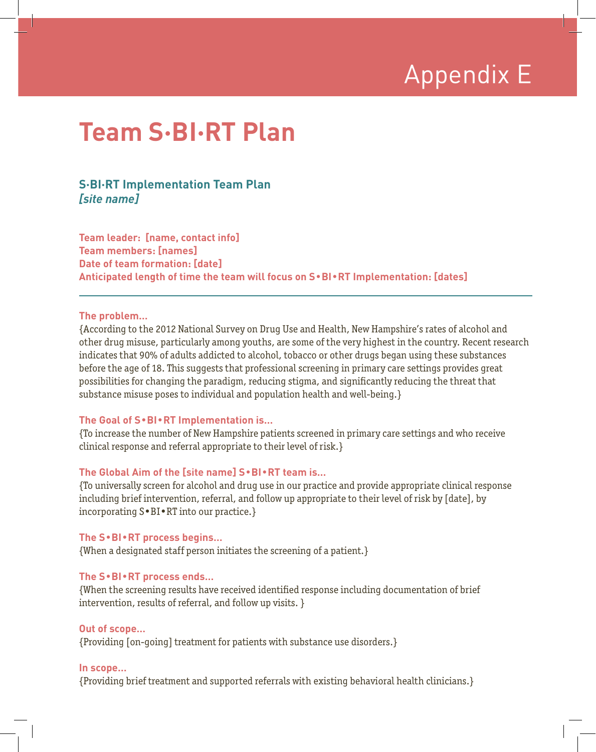## Appendix E

## **Team S·BI·RT Plan**

### **S·BI·RT Implementation Team Plan** *[site name]*

**Team leader: [name, contact info] Team members: [names] Date of team formation: [date] Anticipated length of time the team will focus on S**•**BI**•**RT Implementation: [dates]**

#### **The problem…**

{According to the 2012 National Survey on Drug Use and Health, New Hampshire's rates of alcohol and other drug misuse, particularly among youths, are some of the very highest in the country. Recent research indicates that 90% of adults addicted to alcohol, tobacco or other drugs began using these substances before the age of 18. This suggests that professional screening in primary care settings provides great possibilities for changing the paradigm, reducing stigma, and significantly reducing the threat that substance misuse poses to individual and population health and well-being.}

#### **The Goal of S**•**BI**•**RT Implementation is…**

{To increase the number of New Hampshire patients screened in primary care settings and who receive clinical response and referral appropriate to their level of risk.}

#### **The Global Aim of the [site name] S**•**BI**•**RT team is…**

{To universally screen for alcohol and drug use in our practice and provide appropriate clinical response including brief intervention, referral, and follow up appropriate to their level of risk by [date], by incorporating S•BI•RT into our practice.}

#### **The S**•**BI**•**RT process begins…**

{When a designated staff person initiates the screening of a patient.}

#### **The S**•**BI**•**RT process ends…**

{When the screening results have received identified response including documentation of brief intervention, results of referral, and follow up visits. }

#### **Out of scope…**

{Providing [on-going] treatment for patients with substance use disorders.}

#### **In scope…**

{Providing brief treatment and supported referrals with existing behavioral health clinicians.}